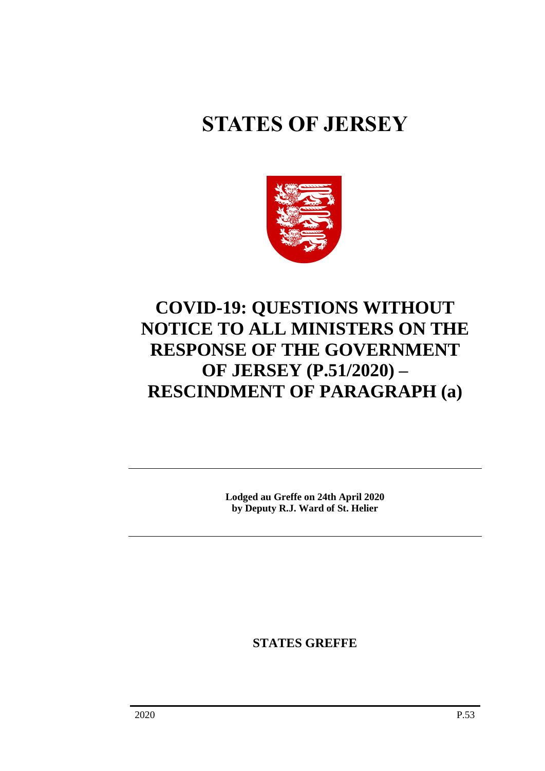# **STATES OF JERSEY**



# **COVID-19: QUESTIONS WITHOUT NOTICE TO ALL MINISTERS ON THE RESPONSE OF THE GOVERNMENT OF JERSEY (P.51/2020) – RESCINDMENT OF PARAGRAPH (a)**

**Lodged au Greffe on 24th April 2020 by Deputy R.J. Ward of St. Helier**

**STATES GREFFE**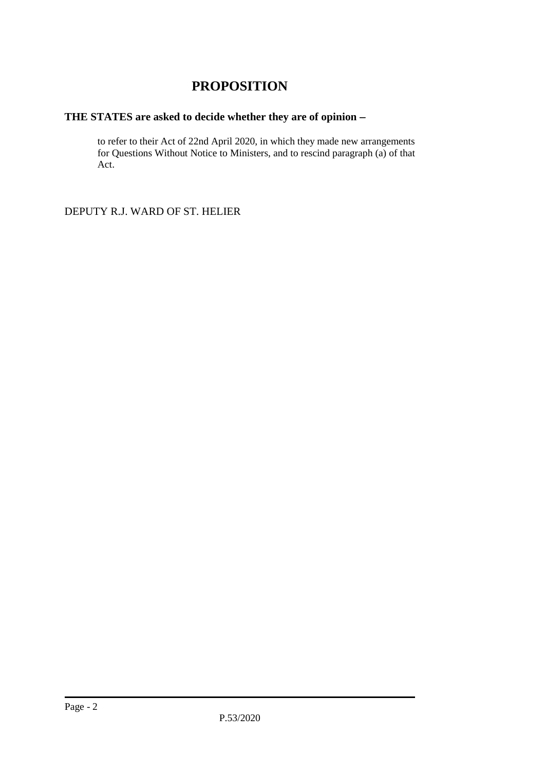## **PROPOSITION**

### **THE STATES are asked to decide whether they are of opinion** −

to refer to their Act of 22nd April 2020, in which they made new arrangements for Questions Without Notice to Ministers, and to rescind paragraph (a) of that Act.

DEPUTY R.J. WARD OF ST. HELIER